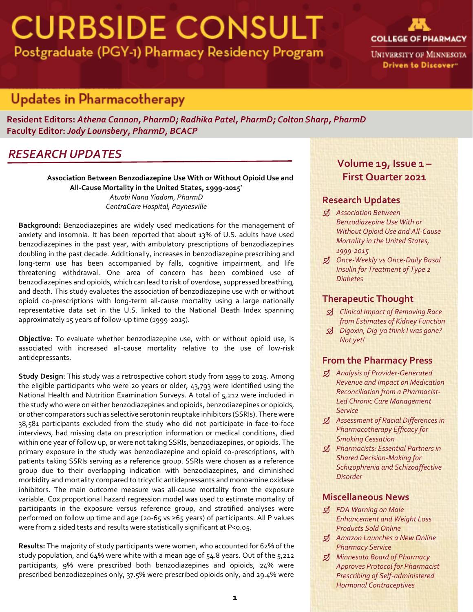# **CURBSIDE CONSULT** Postgraduate (PGY-1) Pharmacy Residency Program



**UNIVERSITY OF MINNESOTA** Driven to Discover"

## **Updates in Pharmacotherapy**

**Resident Editors:** *Athena Cannon, PharmD; Radhika Patel, PharmD; Colton Sharp, PharmD* **Faculty Editor:** *Jody Lounsbery, PharmD, BCACP*

## *RESEARCH UPDATES*

**Association Between Benzodiazepine Use With or Without Opioid Use and All-Cause Mortality in the United States, 1999-2015<sup>1</sup>** *Atuobi Nana Yiadom, PharmD CentraCare Hospital, Paynesville*

**Background:** Benzodiazepines are widely used medications for the management of anxiety and insomnia. It has been reported that about 13% of U.S. adults have used benzodiazepines in the past year, with ambulatory prescriptions of benzodiazepines doubling in the past decade. Additionally, increases in benzodiazepine prescribing and long-term use has been accompanied by falls, cognitive impairment, and life threatening withdrawal. One area of concern has been combined use of benzodiazepines and opioids, which can lead to risk of overdose, suppressed breathing, and death. This study evaluates the association of benzodiazepine use with or without opioid co-prescriptions with long-term all-cause mortality using a large nationally representative data set in the U.S. linked to the National Death Index spanning approximately 15 years of follow-up time (1999-2015).

**Objective**: To evaluate whether benzodiazepine use, with or without opioid use, is associated with increased all-cause mortality relative to the use of low-risk antidepressants.

**Study Design**: This study was a retrospective cohort study from 1999 to 2015. Among the eligible participants who were 20 years or older, 43,793 were identified using the National Health and Nutrition Examination Surveys. A total of 5,212 were included in the study who were on either benzodiazepines and opioids, benzodiazepines or opioids, or other comparators such as selective serotonin reuptake inhibitors (SSRIs). There were 38,581 participants excluded from the study who did not participate in face-to-face interviews, had missing data on prescription information or medical conditions, died within one year of follow up, or were not taking SSRIs, benzodiazepines, or opioids. The primary exposure in the study was benzodiazepine and opioid co-prescriptions, with patients taking SSRIs serving as a reference group. SSRIs were chosen as a reference group due to their overlapping indication with benzodiazepines, and diminished morbidity and mortality compared to tricyclic antidepressants and monoamine oxidase inhibitors. The main outcome measure was all-cause mortality from the exposure variable. Cox proportional hazard regression model was used to estimate mortality of participants in the exposure versus reference group, and stratified analyses were performed on follow up time and age (20-65 vs ≥65 years) of participants. All P values were from 2 sided tests and results were statistically significant at P<0.05.

**Results:** The majority of study participants were women, who accounted for 62% of the study population, and 64% were white with a mean age of 54.8 years. Out of the 5,212 participants, 9% were prescribed both benzodiazepines and opioids, 24% were prescribed benzodiazepines only, 37.5% were prescribed opioids only, and 29.4% were

### **Volume 19, Issue 1 – First Quarter 2021**

### **Research Updates**

- *Association Between Benzodiazepine Use With or Without Opioid Use and All-Cause Mortality in the United States, 1999-2015*
- *Once-Weekly vs Once-Daily Basal Insulin for Treatment of Type 2 Diabetes*

### **Therapeutic Thought**

- *Clinical Impact of Removing Race from Estimates of Kidney Function*
- *Digoxin, Dig-ya think I was gone? Not yet!*

### **From the Pharmacy Press**

- *Analysis of Provider-Generated Revenue and Impact on Medication Reconciliation from a Pharmacist-Led Chronic Care Management Service*
- *Assessment of Racial Differences in Pharmacotherapy Efficacy for Smoking Cessation*
- *Pharmacists: Essential Partners in Shared Decision-Making for Schizophrenia and Schizoaffective Disorder*

### **Miscellaneous News**

- *FDA Warning on Male Enhancement and Weight Loss Products Sold Online*
- *Amazon Launches a New Online Pharmacy Service*
- *Minnesota Board of Pharmacy Approves Protocol for Pharmacist Prescribing of Self-administered Hormonal Contraceptives*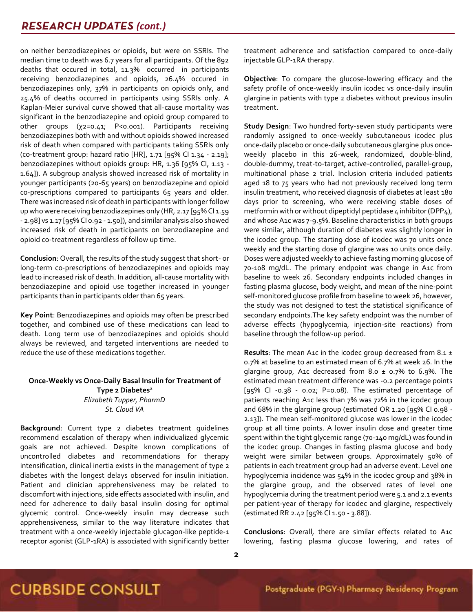on neither benzodiazepines or opioids, but were on SSRIs. The median time to death was 6.7 years for all participants. Of the 892 deaths that occured in total, 11.3% occurred in participants receiving benzodiazepines and opioids, 26.4% occured in benzodiazepines only, 37% in participants on opioids only, and 25.4% of deaths occurred in participants using SSRIs only. A Kaplan-Meier survival curve showed that all-cause mortality was significant in the benzodiazepine and opioid group compared to other groups (χ2=0.41; P<0.001). Participants receiving benzodiazepines both with and without opioids showed increased risk of death when compared with participants taking SSRIs only  $($ co-treatment group: hazard ratio [HR], 1.71  $[95\%$  Cl 1.34 - 2.19]; benzodiazepines without opioids group: HR, 1.36 [95% CI, 1.13 - 1.64]). A subgroup analysis showed increased risk of mortality in younger participants (20-65 years) on benzodiazepine and opioid co-prescriptions compared to participants 65 years and older. There was increased risk of death in participants with longer follow up who were receiving benzodiazepines only (HR, 2.17 [95% Cl 1.59 - 2.98] vs 1.17 [95% CI 0.92 - 1.50]), and similar analysis also showed increased risk of death in participants on benzodiazepine and opioid co-treatment regardless of follow up time.

**Conclusion**: Overall, the results of the study suggest that short- or long-term co-prescriptions of benzodiazepines and opioids may lead to increased risk of death. In addition, all-cause mortality with benzodiazepine and opioid use together increased in younger participants than in participants older than 65 years.

**Key Point**: Benzodiazepines and opioids may often be prescribed together, and combined use of these medications can lead to death. Long term use of benzodiazepines and opioids should always be reviewed, and targeted interventions are needed to reduce the use of these medications together.

#### **Once-Weekly vs Once-Daily Basal Insulin for Treatment of Type 2 Diabetes<sup>2</sup>** *Elizabeth Tupper, PharmD St. Cloud VA*

**Background**: Current type 2 diabetes treatment guidelines recommend escalation of therapy when individualized glycemic goals are not achieved. Despite known complications of uncontrolled diabetes and recommendations for therapy intensification, clinical inertia exists in the management of type 2 diabetes with the longest delays observed for insulin initiation. Patient and clinician apprehensiveness may be related to discomfort with injections, side effects associated with insulin, and need for adherence to daily basal insulin dosing for optimal glycemic control. Once-weekly insulin may decrease such apprehensiveness, similar to the way literature indicates that treatment with a once-weekly injectable glucagon-like peptide-1 receptor agonist (GLP-1RA) is associated with significantly better treatment adherence and satisfaction compared to once-daily injectable GLP-1RA therapy.

**Objective**: To compare the glucose-lowering efficacy and the safety profile of once-weekly insulin icodec vs once-daily insulin glargine in patients with type 2 diabetes without previous insulin treatment.

**Study Design**: Two hundred forty-seven study participants were randomly assigned to once-weekly subcutaneous icodec plus once-daily placebo or once-daily subcutaneous glargine plus onceweekly placebo in this 26-week, randomized, double-blind, double-dummy, treat-to-target, active-controlled, parallel-group, multinational phase 2 trial. Inclusion criteria included patients aged 18 to 75 years who had not previously received long term insulin treatment, who received diagnosis of diabetes at least 180 days prior to screening, who were receiving stable doses of metformin with or without dipeptidyl peptidase 4 inhibitor (DPP4), and whose A1c was 7-9.5%. Baseline characteristics in both groups were similar, although duration of diabetes was slightly longer in the icodec group. The starting dose of icodec was 70 units once weekly and the starting dose of glargine was 10 units once daily. Doses were adjusted weekly to achieve fasting morning glucose of 70-108 mg/dL. The primary endpoint was change in A1c from baseline to week 26. Secondary endpoints included changes in fasting plasma glucose, body weight, and mean of the nine-point self-monitored glucose profile from baseline to week 26, however, the study was not designed to test the statistical significance of secondary endpoints.The key safety endpoint was the number of adverse effects (hypoglycemia, injection-site reactions) from baseline through the follow-up period.

**Results**: The mean A1c in the icodec group decreased from 8.1 ± 0.7% at baseline to an estimated mean of 6.7% at week 26. In the glargine group, A1c decreased from 8.0  $\pm$  0.7% to 6.9%. The estimated mean treatment difference was -0.2 percentage points [95% CI -0.38 - 0.02; P=0.08). The estimated percentage of patients reaching A1c less than 7% was 72% in the icodec group and 68% in the glargine group (estimated OR 1.20 [95% CI 0.98 - 2.13]). The mean self-monitored glucose was lower in the icodec group at all time points. A lower insulin dose and greater time spent within the tight glycemic range (70-140 mg/dL) was found in the icodec group. Changes in fasting plasma glucose and body weight were similar between groups. Approximately 50% of patients in each treatment group had an adverse event. Level one hypoglycemia incidence was 54% in the icodec group and 38% in the glargine group, and the observed rates of level one hypoglycemia during the treatment period were 5.1 and 2.1 events per patient-year of therapy for icodec and glargine, respectively (estimated RR 2.42 [95% CI 1.50 - 3.88]).

**Conclusions**: Overall, there are similar effects related to A1c lowering, fasting plasma glucose lowering, and rates of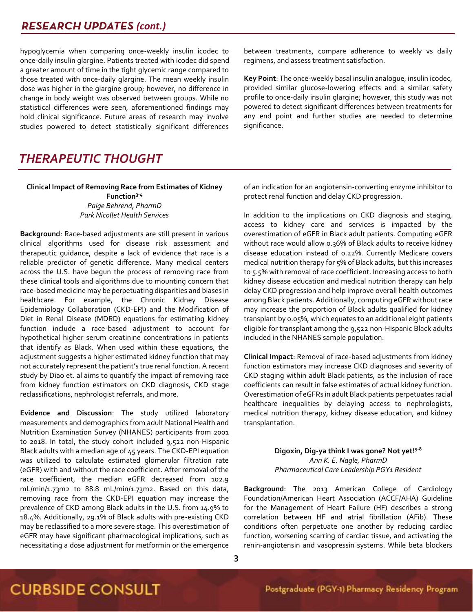## **RESEARCH UPDATES (cont.)**

hypoglycemia when comparing once-weekly insulin icodec to once-daily insulin glargine. Patients treated with icodec did spend a greater amount of time in the tight glycemic range compared to those treated with once-daily glargine. The mean weekly insulin dose was higher in the glargine group; however, no difference in change in body weight was observed between groups. While no statistical differences were seen, aforementioned findings may hold clinical significance. Future areas of research may involve studies powered to detect statistically significant differences between treatments, compare adherence to weekly vs daily regimens, and assess treatment satisfaction.

**Key Point**: The once-weekly basal insulin analogue, insulin icodec, provided similar glucose-lowering effects and a similar safety profile to once-daily insulin glargine; however, this study was not powered to detect significant differences between treatments for any end point and further studies are needed to determine significance.

## *THERAPEUTIC THOUGHT*

**Clinical Impact of Removing Race from Estimates of Kidney Function3-4** *Paige Behrend, PharmD Park Nicollet Health Services*

**Background**: Race-based adjustments are still present in various clinical algorithms used for disease risk assessment and therapeutic guidance, despite a lack of evidence that race is a reliable predictor of genetic difference. Many medical centers across the U.S. have begun the process of removing race from these clinical tools and algorithms due to mounting concern that race-based medicine may be perpetuating disparities and biases in healthcare. For example, the Chronic Kidney Disease Epidemiology Collaboration (CKD-EPI) and the Modification of Diet in Renal Disease (MDRD) equations for estimating kidney function include a race-based adjustment to account for hypothetical higher serum creatinine concentrations in patients that identify as Black. When used within these equations, the adjustment suggests a higher estimated kidney function that may not accurately represent the patient's true renal function. A recent study by Diao et. al aims to quantify the impact of removing race from kidney function estimators on CKD diagnosis, CKD stage reclassifications, nephrologist referrals, and more.

**Evidence and Discussion**: The study utilized laboratory measurements and demographics from adult National Health and Nutrition Examination Survey (NHANES) participants from 2001 to 2018. In total, the study cohort included 9,522 non-Hispanic Black adults with a median age of 45 years. The CKD-EPI equation was utilized to calculate estimated glomerular filtration rate (eGFR) with and without the race coefficient. After removal of the race coefficient, the median eGFR decreased from 102.9 mL/min/1.73m2 to 88.8 mL/min/1.73m2. Based on this data, removing race from the CKD-EPI equation may increase the prevalence of CKD among Black adults in the U.S. from 14.9% to 18.4%. Additionally, 29.1% of Black adults with pre-existing CKD may be reclassified to a more severe stage. This overestimation of eGFR may have significant pharmacological implications, such as necessitating a dose adjustment for metformin or the emergence of an indication for an angiotensin-converting enzyme inhibitor to protect renal function and delay CKD progression.

In addition to the implications on CKD diagnosis and staging, access to kidney care and services is impacted by the overestimation of eGFR in Black adult patients. Computing eGFR without race would allow 0.36% of Black adults to receive kidney disease education instead of 0.22%. Currently Medicare covers medical nutrition therapy for 5% of Black adults, but this increases to 5.5% with removal of race coefficient. Increasing access to both kidney disease education and medical nutrition therapy can help delay CKD progression and help improve overall health outcomes among Black patients. Additionally, computing eGFR without race may increase the proportion of Black adults qualified for kidney transplant by 0.05%, which equates to an additional eight patients eligible for transplant among the 9,522 non-Hispanic Black adults included in the NHANES sample population.

**Clinical Impact**: Removal of race-based adjustments from kidney function estimators may increase CKD diagnoses and severity of CKD staging within adult Black patients, as the inclusion of race coefficients can result in false estimates of actual kidney function. Overestimation of eGFRs in adult Black patients perpetuates racial healthcare inequalities by delaying access to nephrologists, medical nutrition therapy, kidney disease education, and kidney transplantation.

> **Digoxin, Dig-ya think I was gone? Not yet!5-8** *Ann K. E. Nagle, PharmD Pharmaceutical Care Leadership PGY1 Resident*

**Background**: The 2013 American College of Cardiology Foundation/American Heart Association (ACCF/AHA) Guideline for the Management of Heart Failure (HF) describes a strong correlation between HF and atrial fibrillation (AFib). These conditions often perpetuate one another by reducing cardiac function, worsening scarring of cardiac tissue, and activating the renin-angiotensin and vasopressin systems. While beta blockers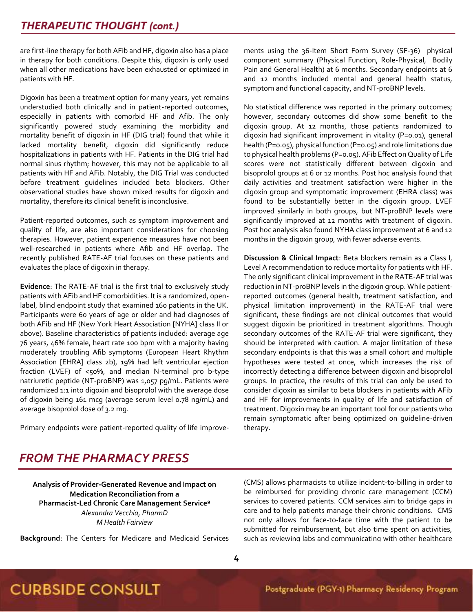are first-line therapy for both AFib and HF, digoxin also has a place in therapy for both conditions. Despite this, digoxin is only used when all other medications have been exhausted or optimized in patients with HF.

Digoxin has been a treatment option for many years, yet remains understudied both clinically and in patient-reported outcomes, especially in patients with comorbid HF and Afib. The only significantly powered study examining the morbidity and mortality benefit of digoxin in HF (DIG trial) found that while it lacked mortality benefit, digoxin did significantly reduce hospitalizations in patients with HF. Patients in the DIG trial had normal sinus rhythm; however, this may not be applicable to all patients with HF and AFib. Notably, the DIG Trial was conducted before treatment guidelines included beta blockers. Other observational studies have shown mixed results for digoxin and mortality, therefore its clinical benefit is inconclusive.

Patient-reported outcomes, such as symptom improvement and quality of life, are also important considerations for choosing therapies. However, patient experience measures have not been well-researched in patients where Afib and HF overlap. The recently published RATE-AF trial focuses on these patients and evaluates the place of digoxin in therapy.

**Evidence**: The RATE-AF trial is the first trial to exclusively study patients with AFib and HF comorbidities. It is a randomized, openlabel, blind endpoint study that examined 160 patients in the UK. Participants were 60 years of age or older and had diagnoses of both AFib and HF (New York Heart Association [NYHA] class II or above). Baseline characteristics of patients included: average age 76 years, 46% female, heart rate 100 bpm with a majority having moderately troubling Afib symptoms (European Heart Rhythm Association [EHRA] class 2b), 19% had left ventricular ejection fraction (LVEF) of <50%, and median N-terminal pro b-type natriuretic peptide (NT-proBNP) was 1,057 pg/mL. Patients were randomized 1:1 into digoxin and bisoprolol with the average dose of digoxin being 161 mcg (average serum level 0.78 ng/mL) and average bisoprolol dose of 3.2 mg.

Primary endpoints were patient-reported quality of life improve-

ments using the 36-Item Short Form Survey (SF-36) physical component summary (Physical Function, Role-Physical, Bodily Pain and General Health) at 6 months. Secondary endpoints at 6 and 12 months included mental and general health status, symptom and functional capacity, and NT-proBNP levels.

No statistical difference was reported in the primary outcomes; however, secondary outcomes did show some benefit to the digoxin group. At 12 months, those patients randomized to digoxin had significant improvement in vitality (P=0.01), general health (P=0.05), physical function (P=0.05) and role limitations due to physical health problems (P=0.05). AFib Effect on Quality of Life scores were not statistically different between digoxin and bisoprolol groups at 6 or 12 months. Post hoc analysis found that daily activities and treatment satisfaction were higher in the digoxin group and symptomatic improvement (EHRA class) was found to be substantially better in the digoxin group. LVEF improved similarly in both groups, but NT-proBNP levels were significantly improved at 12 months with treatment of digoxin. Post hoc analysis also found NYHA class improvement at 6 and 12 months in the digoxin group, with fewer adverse events.

**Discussion & Clinical Impact**: Beta blockers remain as a Class I, Level A recommendation to reduce mortality for patients with HF. The only significant clinical improvement in the RATE-AF trial was reduction in NT-proBNP levels in the digoxin group. While patientreported outcomes (general health, treatment satisfaction, and physical limitation improvement) in the RATE-AF trial were significant, these findings are not clinical outcomes that would suggest digoxin be prioritized in treatment algorithms. Though secondary outcomes of the RATE-AF trial were significant, they should be interpreted with caution. A major limitation of these secondary endpoints is that this was a small cohort and multiple hypotheses were tested at once, which increases the risk of incorrectly detecting a difference between digoxin and bisoprolol groups. In practice, the results of this trial can only be used to consider digoxin as similar to beta blockers in patients with AFib and HF for improvements in quality of life and satisfaction of treatment. Digoxin may be an important tool for our patients who remain symptomatic after being optimized on guideline-driven therapy.

## *FROM THE PHARMACY PRESS*

**Analysis of Provider-Generated Revenue and Impact on Medication Reconciliation from a Pharmacist-Led Chronic Care Management Service<sup>9</sup>** *Alexandra Vecchia, PharmD M Health Fairview*

**Background**: The Centers for Medicare and Medicaid Services

(CMS) allows pharmacists to utilize incident-to-billing in order to be reimbursed for providing chronic care management (CCM) services to covered patients. CCM services aim to bridge gaps in care and to help patients manage their chronic conditions. CMS not only allows for face-to-face time with the patient to be submitted for reimbursement, but also time spent on activities, such as reviewing labs and communicating with other healthcare

## **CURBSIDE CONSULT**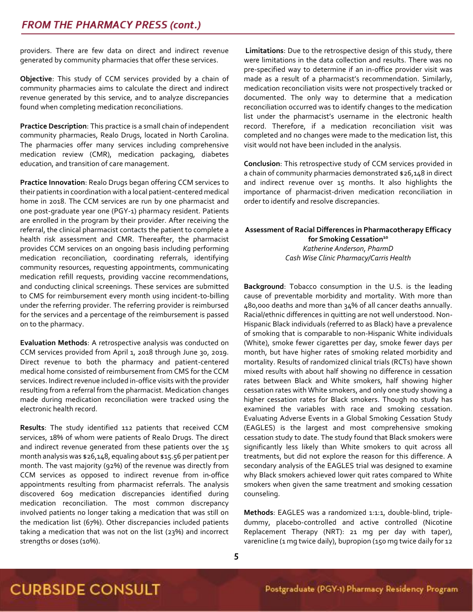providers. There are few data on direct and indirect revenue generated by community pharmacies that offer these services.

**Objective**: This study of CCM services provided by a chain of community pharmacies aims to calculate the direct and indirect revenue generated by this service, and to analyze discrepancies found when completing medication reconciliations.

**Practice Description**: This practice is a small chain of independent community pharmacies, Realo Drugs, located in North Carolina. The pharmacies offer many services including comprehensive medication review (CMR), medication packaging, diabetes education, and transition of care management.

**Practice Innovation**: Realo Drugs began offering CCM services to their patients in coordination with a local patient-centered medical home in 2018. The CCM services are run by one pharmacist and one post-graduate year one (PGY-1) pharmacy resident. Patients are enrolled in the program by their provider. After receiving the referral, the clinical pharmacist contacts the patient to complete a health risk assessment and CMR. Thereafter, the pharmacist provides CCM services on an ongoing basis including performing medication reconciliation, coordinating referrals, identifying community resources, requesting appointments, communicating medication refill requests, providing vaccine recommendations, and conducting clinical screenings. These services are submitted to CMS for reimbursement every month using incident-to-billing under the referring provider. The referring provider is reimbursed for the services and a percentage of the reimbursement is passed on to the pharmacy.

**Evaluation Methods**: A retrospective analysis was conducted on CCM services provided from April 1, 2018 through June 30, 2019. Direct revenue to both the pharmacy and patient-centered medical home consisted of reimbursement from CMS for the CCM services. Indirect revenue included in-office visits with the provider resulting from a referral from the pharmacist. Medication changes made during medication reconciliation were tracked using the electronic health record.

**Results**: The study identified 112 patients that received CCM services, 18% of whom were patients of Realo Drugs. The direct and indirect revenue generated from these patients over the 15 month analysis was \$26,148, equaling about \$15.56 per patient per month. The vast majority (92%) of the revenue was directly from CCM services as opposed to indirect revenue from in-office appointments resulting from pharmacist referrals. The analysis discovered 609 medication discrepancies identified during medication reconciliation. The most common discrepancy involved patients no longer taking a medication that was still on the medication list (67%). Other discrepancies included patients taking a medication that was not on the list (23%) and incorrect strengths or doses (10%).

**Limitations**: Due to the retrospective design of this study, there were limitations in the data collection and results. There was no pre-specified way to determine if an in-office provider visit was made as a result of a pharmacist's recommendation. Similarly, medication reconciliation visits were not prospectively tracked or documented. The only way to determine that a medication reconciliation occurred was to identify changes to the medication list under the pharmacist's username in the electronic health record. Therefore, if a medication reconciliation visit was completed and no changes were made to the medication list, this visit would not have been included in the analysis.

**Conclusion**: This retrospective study of CCM services provided in a chain of community pharmacies demonstrated \$26,148 in direct and indirect revenue over 15 months. It also highlights the importance of pharmacist-driven medication reconciliation in order to identify and resolve discrepancies.

### **Assessment of Racial Differences in Pharmacotherapy Efficacy for Smoking Cessation<sup>10</sup>** *Katherine Anderson, PharmD Cash Wise Clinic Pharmacy/Carris Health*

**Background**: Tobacco consumption in the U.S. is the leading cause of preventable morbidity and mortality. With more than 480,000 deaths and more than 34% of all cancer deaths annually. Racial/ethnic differences in quitting are not well understood. Non-Hispanic Black individuals (referred to as Black) have a prevalence of smoking that is comparable to non-Hispanic White individuals (White), smoke fewer cigarettes per day, smoke fewer days per month, but have higher rates of smoking related morbidity and mortality. Results of randomized clinical trials (RCTs) have shown mixed results with about half showing no difference in cessation rates between Black and White smokers, half showing higher cessation rates with White smokers, and only one study showing a higher cessation rates for Black smokers. Though no study has examined the variables with race and smoking cessation. Evaluating Adverse Events in a Global Smoking Cessation Study (EAGLES) is the largest and most comprehensive smoking cessation study to date. The study found that Black smokers were significantly less likely than White smokers to quit across all treatments, but did not explore the reason for this difference. A secondary analysis of the EAGLES trial was designed to examine why Black smokers achieved lower quit rates compared to White smokers when given the same treatment and smoking cessation counseling.

**Methods**: EAGLES was a randomized 1:1:1, double-blind, tripledummy, placebo-controlled and active controlled (Nicotine Replacement Therapy (NRT): 21 mg per day with taper), varenicline (1 mg twice daily), bupropion (150 mg twice daily for 12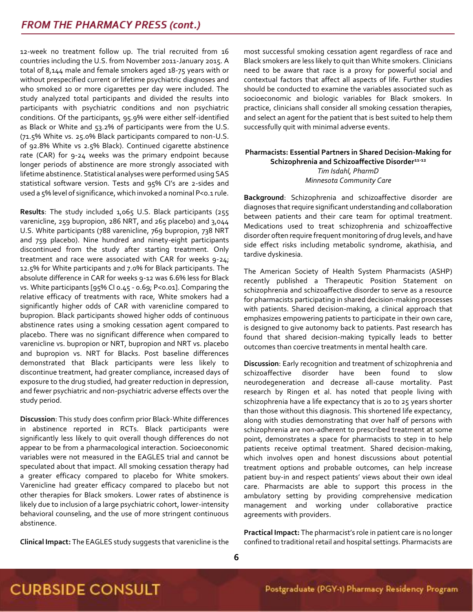12-week no treatment follow up. The trial recruited from 16 countries including the U.S. from November 2011-January 2015. A total of 8,144 male and female smokers aged 18-75 years with or without prespecified current or lifetime psychiatric diagnoses and who smoked 10 or more cigarettes per day were included. The study analyzed total participants and divided the results into participants with psychiatric conditions and non psychiatric conditions. Of the participants, 95.9% were either self-identified as Black or White and 53.2% of participants were from the U.S. (71.5% White vs. 25.0% Black participants compared to non-U.S. of 92.8% White vs 2.5% Black). Continued cigarette abstinence rate (CAR) for 9-24 weeks was the primary endpoint because longer periods of abstinence are more strongly associated with lifetime abstinence. Statistical analyses were performed using SAS statistical software version. Tests and 95% CI's are 2-sides and used a 5% level of significance, which invoked a nominal P<0.1 rule.

**Results**: The study included 1,065 U.S. Black participants (255 varenicline, 259 bupropion, 286 NRT, and 265 placebo) and 3,044 U.S. White participants (788 varenicline, 769 bupropion, 738 NRT and 759 placebo). Nine hundred and ninety-eight participants discontinued from the study after starting treatment. Only treatment and race were associated with CAR for weeks 9-24; 12.5% for White participants and 7.0% for Black participants. The absolute difference in CAR for weeks 9-12 was 6.6% less for Black vs. White participants [95% CI 0.45 - 0.69; P<0.01]. Comparing the relative efficacy of treatments with race, White smokers had a significantly higher odds of CAR with varenicline compared to bupropion. Black participants showed higher odds of continuous abstinence rates using a smoking cessation agent compared to placebo. There was no significant difference when compared to varenicline vs. bupropion or NRT, bupropion and NRT vs. placebo and bupropion vs. NRT for Blacks. Post baseline differences demonstrated that Black participants were less likely to discontinue treatment, had greater compliance, increased days of exposure to the drug studied, had greater reduction in depression, and fewer psychiatric and non-psychiatric adverse effects over the study period.

**Discussion**: This study does confirm prior Black-White differences in abstinence reported in RCTs. Black participants were significantly less likely to quit overall though differences do not appear to be from a pharmacological interaction. Socioeconomic variables were not measured in the EAGLES trial and cannot be speculated about that impact. All smoking cessation therapy had a greater efficacy compared to placebo for White smokers. Varenicline had greater efficacy compared to placebo but not other therapies for Black smokers. Lower rates of abstinence is likely due to inclusion of a large psychiatric cohort, lower-intensity behavioral counseling, and the use of more stringent continuous abstinence.

**Clinical Impact:** The EAGLES study suggests that varenicline is the

most successful smoking cessation agent regardless of race and Black smokers are less likely to quit than White smokers. Clinicians need to be aware that race is a proxy for powerful social and contextual factors that affect all aspects of life. Further studies should be conducted to examine the variables associated such as socioeconomic and biologic variables for Black smokers. In practice, clinicians shall consider all smoking cessation therapies, and select an agent for the patient that is best suited to help them successfully quit with minimal adverse events.

### **Pharmacists: Essential Partners in Shared Decision-Making for Schizophrenia and Schizoaffective Disorder11-12** *Tim Isdahl, PharmD Minnesota Community Care*

**Background**: Schizophrenia and schizoaffective disorder are diagnoses that require significant understanding and collaboration between patients and their care team for optimal treatment. Medications used to treat schizophrenia and schizoaffective disorder often require frequent monitoring of drug levels, and have side effect risks including metabolic syndrome, akathisia, and tardive dyskinesia.

The American Society of Health System Pharmacists (ASHP) recently published a Therapeutic Position Statement on schizophrenia and schizoaffective disorder to serve as a resource for pharmacists participating in shared decision-making processes with patients. Shared decision-making, a clinical approach that emphasizes empowering patients to participate in their own care, is designed to give autonomy back to patients. Past research has found that shared decision-making typically leads to better outcomes than coercive treatments in mental health care.

**Discussion**: Early recognition and treatment of schizophrenia and schizoaffective disorder have been found to slow neurodegeneration and decrease all-cause mortality. Past research by Ringen et al. has noted that people living with schizophrenia have a life expectancy that is 20 to 25 years shorter than those without this diagnosis. This shortened life expectancy, along with studies demonstrating that over half of persons with schizophrenia are non-adherent to prescribed treatment at some point, demonstrates a space for pharmacists to step in to help patients receive optimal treatment. Shared decision-making, which involves open and honest discussions about potential treatment options and probable outcomes, can help increase patient buy-in and respect patients' views about their own ideal care. Pharmacists are able to support this process in the ambulatory setting by providing comprehensive medication management and working under collaborative practice agreements with providers.

**Practical Impact:** The pharmacist's role in patient care is no longer confined to traditional retail and hospital settings. Pharmacists are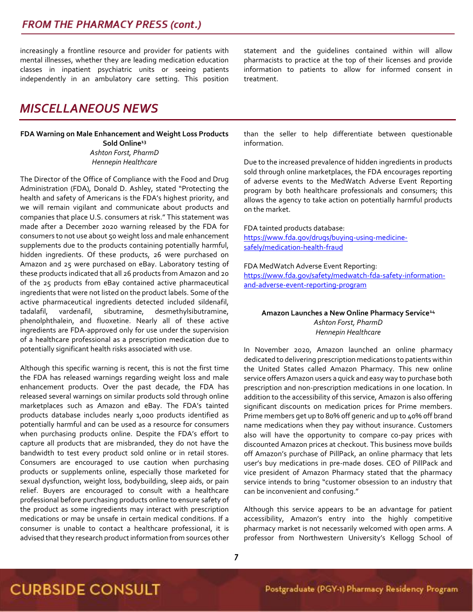increasingly a frontline resource and provider for patients with mental illnesses, whether they are leading medication education classes in inpatient psychiatric units or seeing patients independently in an ambulatory care setting. This position

## *MISCELLANEOUS NEWS*

### **FDA Warning on Male Enhancement and Weight Loss Products Sold Online<sup>13</sup>** *Ashton Forst, PharmD Hennepin Healthcare*

The Director of the Office of Compliance with the Food and Drug Administration (FDA), Donald D. Ashley, stated "Protecting the health and safety of Americans is the FDA's highest priority, and we will remain vigilant and communicate about products and companies that place U.S. consumers at risk." This statement was made after a December 2020 warning released by the FDA for consumers to not use about 50 weight loss and male enhancement supplements due to the products containing potentially harmful, hidden ingredients. Of these products, 26 were purchased on Amazon and 25 were purchased on eBay. Laboratory testing of these products indicated that all 26 products from Amazon and 20 of the 25 products from eBay contained active pharmaceutical ingredients that were not listed on the product labels. Some of the active pharmaceutical ingredients detected included sildenafil, tadalafil, vardenafil, sibutramine, desmethylsibutramine, phenolphthalein, and fluoxetine. Nearly all of these active ingredients are FDA-approved only for use under the supervision of a healthcare professional as a prescription medication due to potentially significant health risks associated with use.

Although this specific warning is recent, this is not the first time the FDA has released warnings regarding weight loss and male enhancement products. Over the past decade, the FDA has released several warnings on similar products sold through online marketplaces such as Amazon and eBay. The FDA's tainted products database includes nearly 1,000 products identified as potentially harmful and can be used as a resource for consumers when purchasing products online. Despite the FDA's effort to capture all products that are misbranded, they do not have the bandwidth to test every product sold online or in retail stores. Consumers are encouraged to use caution when purchasing products or supplements online, especially those marketed for sexual dysfunction, weight loss, bodybuilding, sleep aids, or pain relief. Buyers are encouraged to consult with a healthcare professional before purchasing products online to ensure safety of the product as some ingredients may interact with prescription medications or may be unsafe in certain medical conditions. If a consumer is unable to contact a healthcare professional, it is advised that they research product information from sources other

statement and the guidelines contained within will allow pharmacists to practice at the top of their licenses and provide information to patients to allow for informed consent in treatment.

than the seller to help differentiate between questionable information.

Due to the increased prevalence of hidden ingredients in products sold through online marketplaces, the FDA encourages reporting of adverse events to the MedWatch Adverse Event Reporting program by both healthcare professionals and consumers; this allows the agency to take action on potentially harmful products on the market.

FDA tainted products database:

[https://www.fda.gov/drugs/buying-using-medicine](https://www.fda.gov/drugs/buying-using-medicine-safely/medication-health-fraud)[safely/medication-health-fraud](https://www.fda.gov/drugs/buying-using-medicine-safely/medication-health-fraud)

FDA MedWatch Adverse Event Reporting:

[https://www.fda.gov/safety/medwatch-fda-safety-information](https://www.fda.gov/safety/medwatch-fda-safety-information-and-adverse-event-reporting-program)[and-adverse-event-reporting-program](https://www.fda.gov/safety/medwatch-fda-safety-information-and-adverse-event-reporting-program)

#### **Amazon Launches a New Online Pharmacy Service<sup>14</sup>** *Ashton Forst, PharmD Hennepin Healthcare*

In November 2020, Amazon launched an online pharmacy dedicated to delivering prescription medications to patients within the United States called Amazon Pharmacy. This new online service offers Amazon users a quick and easy way to purchase both prescription and non-prescription medications in one location. In addition to the accessibility of this service, Amazon is also offering significant discounts on medication prices for Prime members. Prime members get up to 80% off generic and up to 40% off brand name medications when they pay without insurance. Customers also will have the opportunity to compare co-pay prices with discounted Amazon prices at checkout. This business move builds off Amazon's purchase of PillPack, an online pharmacy that lets user's buy medications in pre-made doses. CEO of PillPack and vice president of Amazon Pharmacy stated that the pharmacy service intends to bring "customer obsession to an industry that can be inconvenient and confusing."

Although this service appears to be an advantage for patient accessibility, Amazon's entry into the highly competitive pharmacy market is not necessarily welcomed with open arms. A professor from Northwestern University's Kellogg School of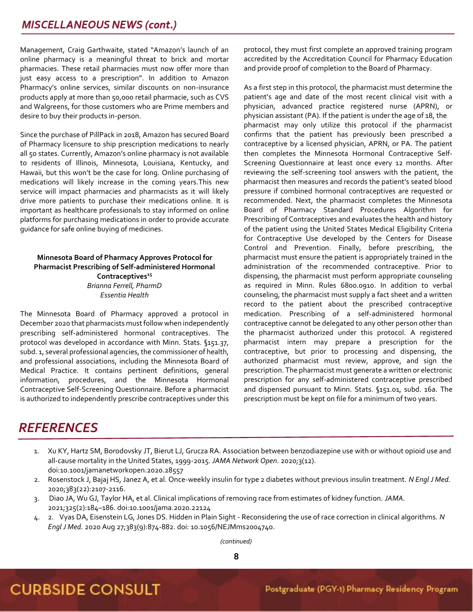Management, Craig Garthwaite, stated "Amazon's launch of an online pharmacy is a meaningful threat to brick and mortar pharmacies. These retail pharmacies must now offer more than just easy access to a prescription". In addition to Amazon Pharmacy's online services, similar discounts on non-insurance products apply at more than 50,000 retail pharmacie, such as CVS and Walgreens, for those customers who are Prime members and desire to buy their products in-person.

Since the purchase of PillPack in 2018, Amazon has secured Board of Pharmacy licensure to ship prescription medications to nearly all 50 states. Currently, Amazon's online pharmacy is not available to residents of Illinois, Minnesota, Louisiana, Kentucky, and Hawaii, but this won't be the case for long. Online purchasing of medications will likely increase in the coming years.This new service will impact pharmacies and pharmacists as it will likely drive more patients to purchase their medications online. It is important as healthcare professionals to stay informed on online platforms for purchasing medications in order to provide accurate guidance for safe online buying of medicines.

### **Minnesota Board of Pharmacy Approves Protocol for Pharmacist Prescribing of Self-administered Hormonal Contraceptives<sup>15</sup>** *Brianna Ferrell, PharmD Essentia Health*

The Minnesota Board of Pharmacy approved a protocol in December 2020 that pharmacists must follow when independently prescribing self-administered hormonal contraceptives. The protocol was developed in accordance with Minn. Stats. §151.37, subd. 1, several professional agencies, the commissioner of health, and professional associations, including the Minnesota Board of Medical Practice. It contains pertinent definitions, general information, procedures, and the Minnesota Hormonal Contraceptive Self-Screening Questionnaire. Before a pharmacist is authorized to independently prescribe contraceptives under this

protocol, they must first complete an approved training program accredited by the Accreditation Council for Pharmacy Education and provide proof of completion to the Board of Pharmacy.

As a first step in this protocol, the pharmacist must determine the patient's age and date of the most recent clinical visit with a physician, advanced practice registered nurse (APRN), or physician assistant (PA). If the patient is under the age of 18, the pharmacist may only utilize this protocol if the pharmacist confirms that the patient has previously been prescribed a contraceptive by a licensed physician, APRN, or PA. The patient then completes the Minnesota Hormonal Contraceptive Self-Screening Questionnaire at least once every 12 months. After reviewing the self-screening tool answers with the patient, the pharmacist then measures and records the patient's seated blood pressure if combined hormonal contraceptives are requested or recommended. Next, the pharmacist completes the Minnesota Board of Pharmacy Standard Procedures Algorithm for Prescribing of Contraceptives and evaluates the health and history of the patient using the United States Medical Eligibility Criteria for Contraceptive Use developed by the Centers for Disease Control and Prevention. Finally, before prescribing, the pharmacist must ensure the patient is appropriately trained in the administration of the recommended contraceptive. Prior to dispensing, the pharmacist must perform appropriate counseling as required in Minn. Rules 6800.0910. In addition to verbal counseling, the pharmacist must supply a fact sheet and a written record to the patient about the prescribed contraceptive medication. Prescribing of a self-administered hormonal contraceptive cannot be delegated to any other person other than the pharmacist authorized under this protocol. A registered pharmacist intern may prepare a prescription for the contraceptive, but prior to processing and dispensing, the authorized pharmacist must review, approve, and sign the prescription. The pharmacist must generate a written or electronic prescription for any self-administered contraceptive prescribed and dispensed pursuant to Minn. Stats. §151.01, subd. 16a. The prescription must be kept on file for a minimum of two years.

## *REFERENCES*

- 1. Xu KY, Hartz SM, Borodovsky JT, Bierut LJ, Grucza RA. Association between benzodiazepine use with or without opioid use and all-cause mortality in the United States, 1999-2015. *JAMA Network Open*. 2020;3(12). doi:10.1001/jamanetworkopen.2020.28557
- 2. Rosenstock J, Bajaj HS, Janez A, et al. Once-weekly insulin for type 2 diabetes without previous insulin treatment. *N Engl J Med.* 2020;383(22):2107-2116.
- 3. Diao JA, Wu GJ, Taylor HA, et al. Clinical implications of removing race from estimates of kidney function. *JAMA.* 2021;325(2):184–186. doi:10.1001/jama.2020.22124
- 4. 2. Vyas DA, Eisenstein LG, Jones DS. Hidden in Plain Sight Reconsidering the use of race correction in clinical algorithms. *N Engl J Med.* 2020 Aug 27;383(9):874-882. doi: 10.1056/NEJMms2004740.

*(continued)*

### **8**

## **CURBSIDE CONSULT**